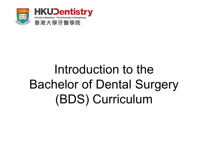

## Introduction to the Bachelor of Dental Surgery (BDS) Curriculum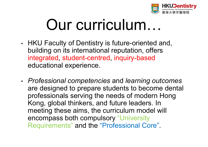

# Our curriculum…

- • HKU Faculty of Dentistry is future-oriented and, building on its international reputation, offers integrated, student-centred, inquiry-based educational experience.
- • *Professional competencies* and *learning outcomes*  are designed to prepare students to become dental professionals serving the needs of modern Hong Kong, global thinkers, and future leaders. In meeting these aims, the curriculum model will encompass both compulsory "University Requirements" and the "Professional Core".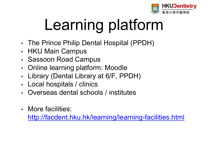

# Learning platform

- •• The Prince Philip Dental Hospital (PPDH)
- •HKU Main Campus
- •• Sassoon Road Campus
- •• Online learning platform: Moodle
- •Library (Dental Library at 6/F, PPDH)
- •Local hospitals / clinics
- •Overseas dental schools / institutes
- More facilities:

http://facdent.hku.hk/learning/learning-facilities.html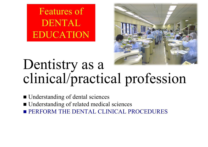Features of DENTALEDUCATION



### Dentistry as a clinical/practical profession

- Understanding of dental sciences
- Understanding of related medical sciences
- **PERFORM THE DENTAL CLINICAL PROCEDURES**